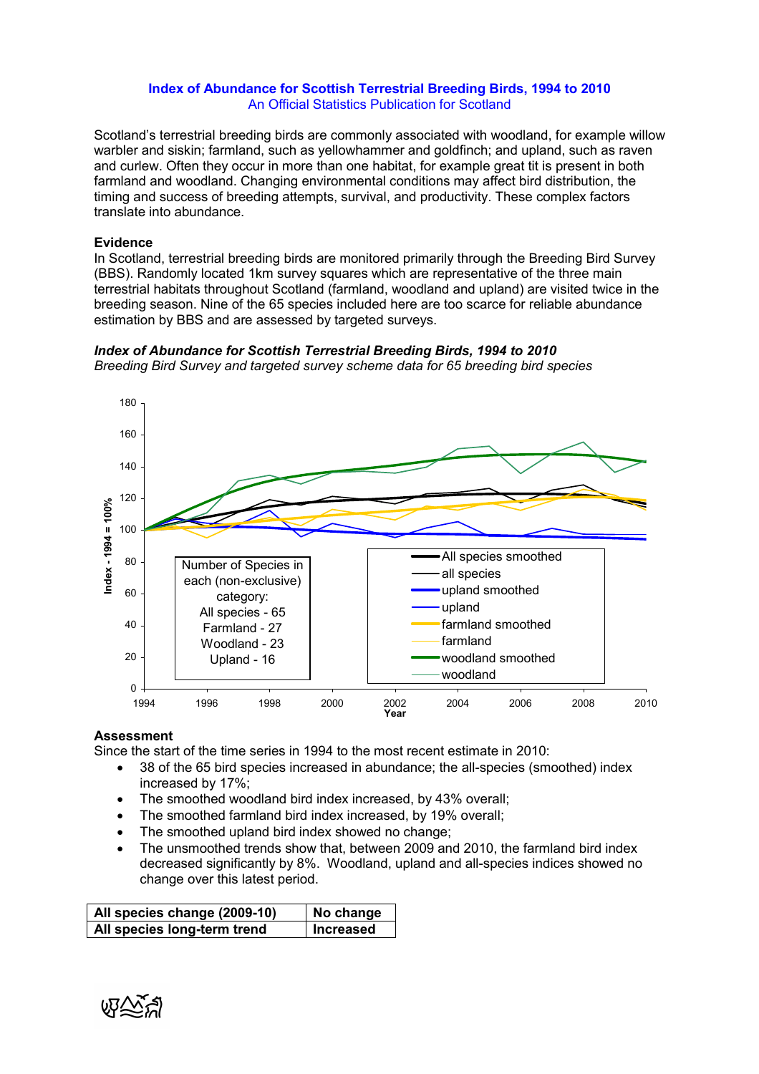## Index of Abundance for Scottish Terrestrial Breeding Birds, 1994 to 2010 An Official Statistics Publication for Scotland

Scotland's terrestrial breeding birds are commonly associated with woodland, for example willow warbler and siskin; farmland, such as yellowhammer and goldfinch; and upland, such as raven and curlew. Often they occur in more than one habitat, for example great tit is present in both farmland and woodland. Changing environmental conditions may affect bird distribution, the timing and success of breeding attempts, survival, and productivity. These complex factors translate into abundance.

## Evidence

In Scotland, terrestrial breeding birds are monitored primarily through the Breeding Bird Survey (BBS). Randomly located 1km survey squares which are representative of the three main terrestrial habitats throughout Scotland (farmland, woodland and upland) are visited twice in the breeding season. Nine of the 65 species included here are too scarce for reliable abundance estimation by BBS and are assessed by targeted surveys.



Index of Abundance for Scottish Terrestrial Breeding Birds, 1994 to 2010 Breeding Bird Survey and targeted survey scheme data for 65 breeding bird species

## **Assessment**

Since the start of the time series in 1994 to the most recent estimate in 2010:

- 38 of the 65 bird species increased in abundance; the all-species (smoothed) index increased by 17%;
- The smoothed woodland bird index increased, by 43% overall;
- The smoothed farmland bird index increased, by 19% overall;
- The smoothed upland bird index showed no change;
- The unsmoothed trends show that, between 2009 and 2010, the farmland bird index decreased significantly by 8%. Woodland, upland and all-species indices showed no change over this latest period.

| All species change (2009-10) | No change        |
|------------------------------|------------------|
| All species long-term trend  | <b>Increased</b> |

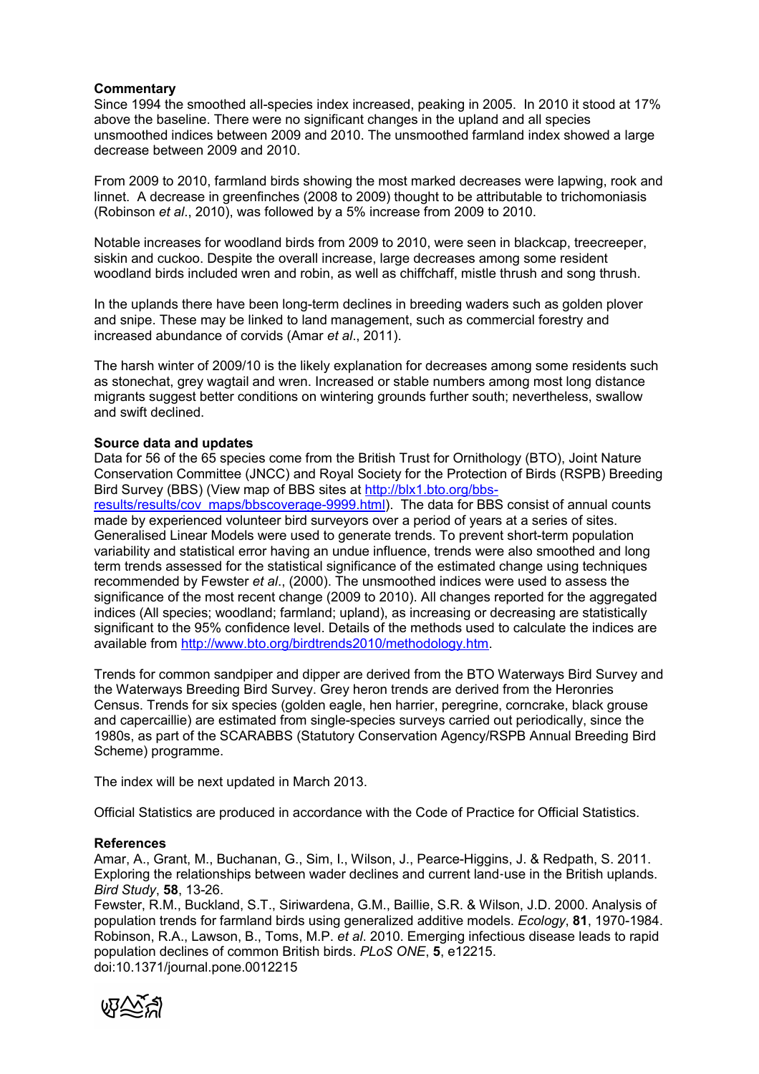# **Commentary**

Since 1994 the smoothed all-species index increased, peaking in 2005. In 2010 it stood at 17% above the baseline. There were no significant changes in the upland and all species unsmoothed indices between 2009 and 2010. The unsmoothed farmland index showed a large decrease between 2009 and 2010.

From 2009 to 2010, farmland birds showing the most marked decreases were lapwing, rook and linnet. A decrease in greenfinches (2008 to 2009) thought to be attributable to trichomoniasis (Robinson et al., 2010), was followed by a 5% increase from 2009 to 2010.

Notable increases for woodland birds from 2009 to 2010, were seen in blackcap, treecreeper, siskin and cuckoo. Despite the overall increase, large decreases among some resident woodland birds included wren and robin, as well as chiffchaff, mistle thrush and song thrush.

In the uplands there have been long-term declines in breeding waders such as golden plover and snipe. These may be linked to land management, such as commercial forestry and increased abundance of corvids (Amar et al., 2011).

The harsh winter of 2009/10 is the likely explanation for decreases among some residents such as stonechat, grey wagtail and wren. Increased or stable numbers among most long distance migrants suggest better conditions on wintering grounds further south; nevertheless, swallow and swift declined.

## Source data and updates

Data for 56 of the 65 species come from the British Trust for Ornithology (BTO), Joint Nature Conservation Committee (JNCC) and Royal Society for the Protection of Birds (RSPB) Breeding Bird Survey (BBS) (View map of BBS sites at http://blx1.bto.org/bbs-

results/results/cov\_maps/bbscoverage-9999.html). The data for BBS consist of annual counts made by experienced volunteer bird surveyors over a period of years at a series of sites. Generalised Linear Models were used to generate trends. To prevent short-term population variability and statistical error having an undue influence, trends were also smoothed and long term trends assessed for the statistical significance of the estimated change using techniques recommended by Fewster et al., (2000). The unsmoothed indices were used to assess the significance of the most recent change (2009 to 2010). All changes reported for the aggregated indices (All species; woodland; farmland; upland), as increasing or decreasing are statistically significant to the 95% confidence level. Details of the methods used to calculate the indices are available from http://www.bto.org/birdtrends2010/methodology.htm.

Trends for common sandpiper and dipper are derived from the BTO Waterways Bird Survey and the Waterways Breeding Bird Survey. Grey heron trends are derived from the Heronries Census. Trends for six species (golden eagle, hen harrier, peregrine, corncrake, black grouse and capercaillie) are estimated from single-species surveys carried out periodically, since the 1980s, as part of the SCARABBS (Statutory Conservation Agency/RSPB Annual Breeding Bird Scheme) programme.

The index will be next updated in March 2013.

Official Statistics are produced in accordance with the Code of Practice for Official Statistics.

## **References**

Amar, A., Grant, M., Buchanan, G., Sim, I., Wilson, J., Pearce-Higgins, J. & Redpath, S. 2011. Exploring the relationships between wader declines and current land-use in the British uplands. Bird Study, 58, 13-26.

Fewster, R.M., Buckland, S.T., Siriwardena, G.M., Baillie, S.R. & Wilson, J.D. 2000. Analysis of population trends for farmland birds using generalized additive models. Ecology, 81, 1970-1984. Robinson, R.A., Lawson, B., Toms, M.P. et al. 2010. Emerging infectious disease leads to rapid population declines of common British birds. PLoS ONE, 5, e12215. doi:10.1371/journal.pone.0012215

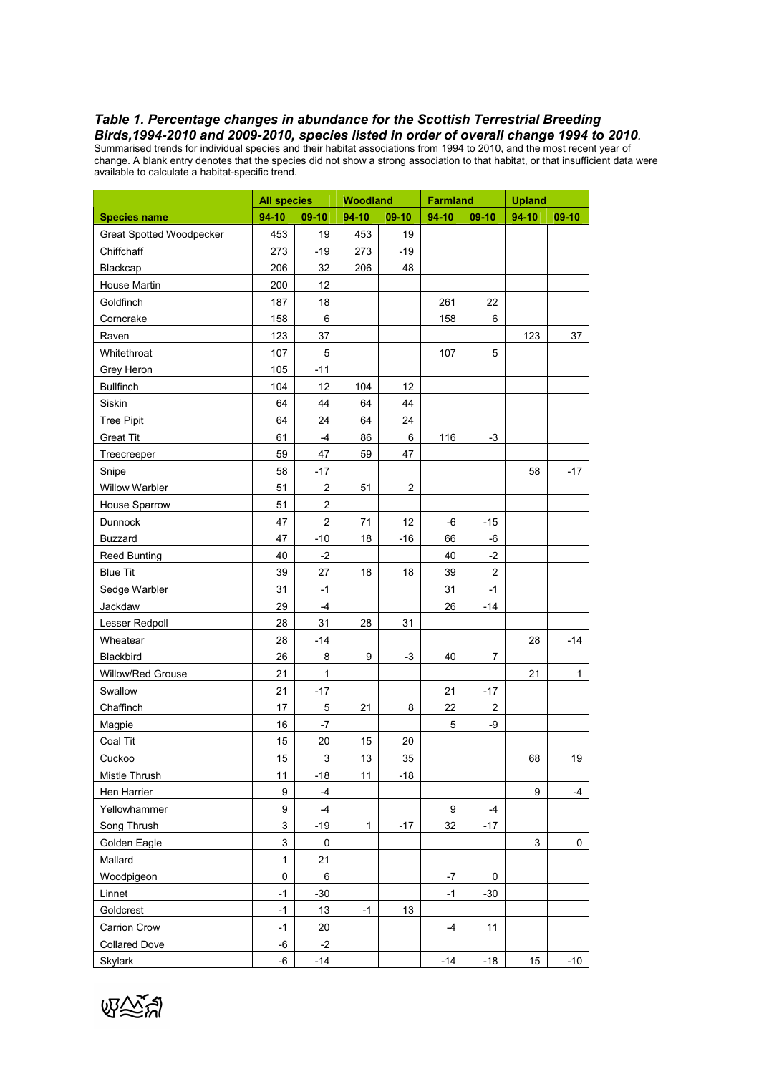#### Table 1. Percentage changes in abundance for the Scottish Terrestrial Breeding Birds,1994-2010 and 2009-2010, species listed in order of overall change 1994 to 2010.

Summarised trends for individual species and their habitat associations from 1994 to 2010, and the most recent year of change. A blank entry denotes that the species did not show a strong association to that habitat, or that insufficient data were available to calculate a habitat-specific trend.

|                          | Woodland<br><b>All species</b> |                | <b>Farmland</b> |                | <b>Upland</b> |                      |       |              |
|--------------------------|--------------------------------|----------------|-----------------|----------------|---------------|----------------------|-------|--------------|
| <b>Species name</b>      | 94-10                          | 09-10          | $94-10$         | 09-10          | 94-10         | 09-10                | 94-10 | $09-10$      |
| Great Spotted Woodpecker | 453                            | 19             | 453             | 19             |               |                      |       |              |
| Chiffchaff               | 273                            | $-19$          | 273             | $-19$          |               |                      |       |              |
| Blackcap                 | 206                            | 32             | 206             | 48             |               |                      |       |              |
| House Martin             | 200                            | 12             |                 |                |               |                      |       |              |
| Goldfinch                | 187                            | 18             |                 |                | 261           | 22                   |       |              |
| Corncrake                | 158                            | $\,6\,$        |                 |                | 158           | 6                    |       |              |
| Raven                    | 123                            | 37             |                 |                |               |                      | 123   | 37           |
| Whitethroat              | 107                            | $\mathbf 5$    |                 |                | 107           | 5                    |       |              |
| Grey Heron               | 105                            | $-11$          |                 |                |               |                      |       |              |
| <b>Bullfinch</b>         | 104                            | 12             | 104             | 12             |               |                      |       |              |
| Siskin                   | 64                             | 44             | 64              | 44             |               |                      |       |              |
| <b>Tree Pipit</b>        | 64                             | 24             | 64              | 24             |               |                      |       |              |
| <b>Great Tit</b>         | 61                             | $-4$           | 86              | 6              | 116           | $-3$                 |       |              |
| Treecreeper              | 59                             | 47             | 59              | 47             |               |                      |       |              |
| Snipe                    | 58                             | $-17$          |                 |                |               |                      | 58    | $-17$        |
| Willow Warbler           | 51                             | 2              | 51              | $\overline{2}$ |               |                      |       |              |
| House Sparrow            | 51                             | $\overline{c}$ |                 |                |               |                      |       |              |
| Dunnock                  | 47                             | $\overline{c}$ | 71              | 12             | -6            | $-15$                |       |              |
| <b>Buzzard</b>           | 47                             | $-10$          | 18              | $-16$          | 66            | -6                   |       |              |
| <b>Reed Bunting</b>      | 40                             | $-2$           |                 |                | 40            | $-2$                 |       |              |
| <b>Blue Tit</b>          | 39                             | 27             | 18              | 18             | 39            | $\overline{c}$       |       |              |
| Sedge Warbler            | 31                             | $-1$           |                 |                | 31            | $-1$                 |       |              |
| Jackdaw                  | 29                             | -4             |                 |                | 26            | $-14$                |       |              |
| Lesser Redpoll           | 28                             | 31             | 28              | 31             |               |                      |       |              |
| Wheatear                 | 28                             | $-14$          |                 |                |               |                      | 28    | $-14$        |
| Blackbird                | 26                             | 8              | 9               | -3             | 40            | 7                    |       |              |
| Willow/Red Grouse        | 21                             | 1              |                 |                |               |                      | 21    | $\mathbf{1}$ |
|                          |                                |                |                 |                |               |                      |       |              |
| Swallow                  | 21                             | $-17$          |                 |                | 21            | $-17$                |       |              |
| Chaffinch                | 17                             | $\mathbf 5$    | 21              | 8              | 22            | $\overline{c}$<br>-9 |       |              |
| Magpie                   | 16                             | -7             |                 |                | 5             |                      |       |              |
| Coal Tit                 | 15                             | 20             | 15              | 20             |               |                      |       |              |
| Cuckoo                   | 15                             | 3              | 13              | 35             |               |                      | 68    | 19           |
| Mistle Thrush            | 11                             | $-18$          | 11              | $-18$          |               |                      |       |              |
| Hen Harrier              | $\boldsymbol{9}$               | $-4$           |                 |                |               |                      | 9     | -4           |
| Yellowhammer             | 9                              | $-4$           |                 |                | 9             | -4                   |       |              |
| Song Thrush              | $\mathfrak{S}$                 | $-19$          | $\mathbf{1}$    | $-17$          | 32            | $-17$                |       |              |
| Golden Eagle             | 3                              | 0              |                 |                |               |                      | 3     | 0            |
| Mallard                  | $\mathbf{1}$                   | 21             |                 |                |               |                      |       |              |
| Woodpigeon               | $\mathsf 0$                    | $\,6\,$        |                 |                | $-7$          | 0                    |       |              |
| Linnet                   | $-1$                           | $-30$          |                 |                | $-1$          | $-30$                |       |              |
| Goldcrest                | $-1$                           | 13             | -1              | 13             |               |                      |       |              |
| Carrion Crow             | $-1$                           | 20             |                 |                | $-4$          | 11                   |       |              |
| <b>Collared Dove</b>     | -6                             | $-2$           |                 |                |               |                      |       |              |
| Skylark                  | -6                             | $-14$          |                 |                | $-14$         | $-18$                | 15    | $-10$        |